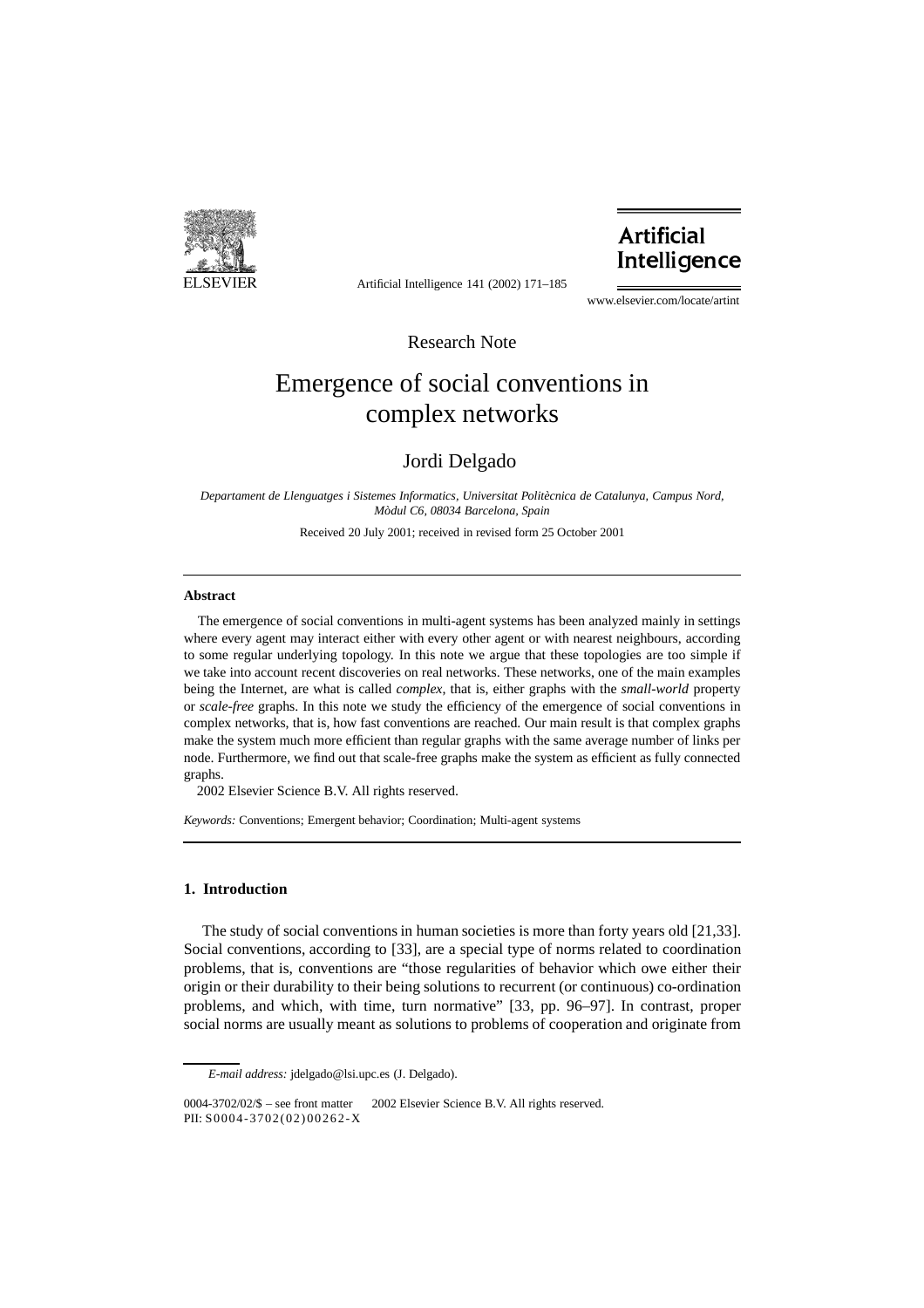

Artificial Intelligence 141 (2002) 171–185



www.elsevier.com/locate/artint

Research Note

# Emergence of social conventions in complex networks

# Jordi Delgado

*Departament de Llenguatges i Sistemes Informatics, Universitat Politècnica de Catalunya, Campus Nord, Mòdul C6, 08034 Barcelona, Spain*

Received 20 July 2001; received in revised form 25 October 2001

#### **Abstract**

The emergence of social conventions in multi-agent systems has been analyzed mainly in settings where every agent may interact either with every other agent or with nearest neighbours, according to some regular underlying topology. In this note we argue that these topologies are too simple if we take into account recent discoveries on real networks. These networks, one of the main examples being the Internet, are what is called *complex*, that is, either graphs with the *small-world* property or *scale-free* graphs. In this note we study the efficiency of the emergence of social conventions in complex networks, that is, how fast conventions are reached. Our main result is that complex graphs make the system much more efficient than regular graphs with the same average number of links per node. Furthermore, we find out that scale-free graphs make the system as efficient as fully connected graphs.

2002 Elsevier Science B.V. All rights reserved.

*Keywords:* Conventions; Emergent behavior; Coordination; Multi-agent systems

# **1. Introduction**

The study of social conventions in human societies is more than forty years old [21,33]. Social conventions, according to [33], are a special type of norms related to coordination problems, that is, conventions are "those regularities of behavior which owe either their origin or their durability to their being solutions to recurrent (or continuous) co-ordination problems, and which, with time, turn normative" [33, pp. 96–97]. In contrast, proper social norms are usually meant as solutions to problems of cooperation and originate from

*E-mail address:* jdelgado@lsi.upc.es (J. Delgado).

 $0004-3702/02\%$  – see front matter  $\odot$  2002 Elsevier Science B.V. All rights reserved. PII: S0004-3702(02)00262-X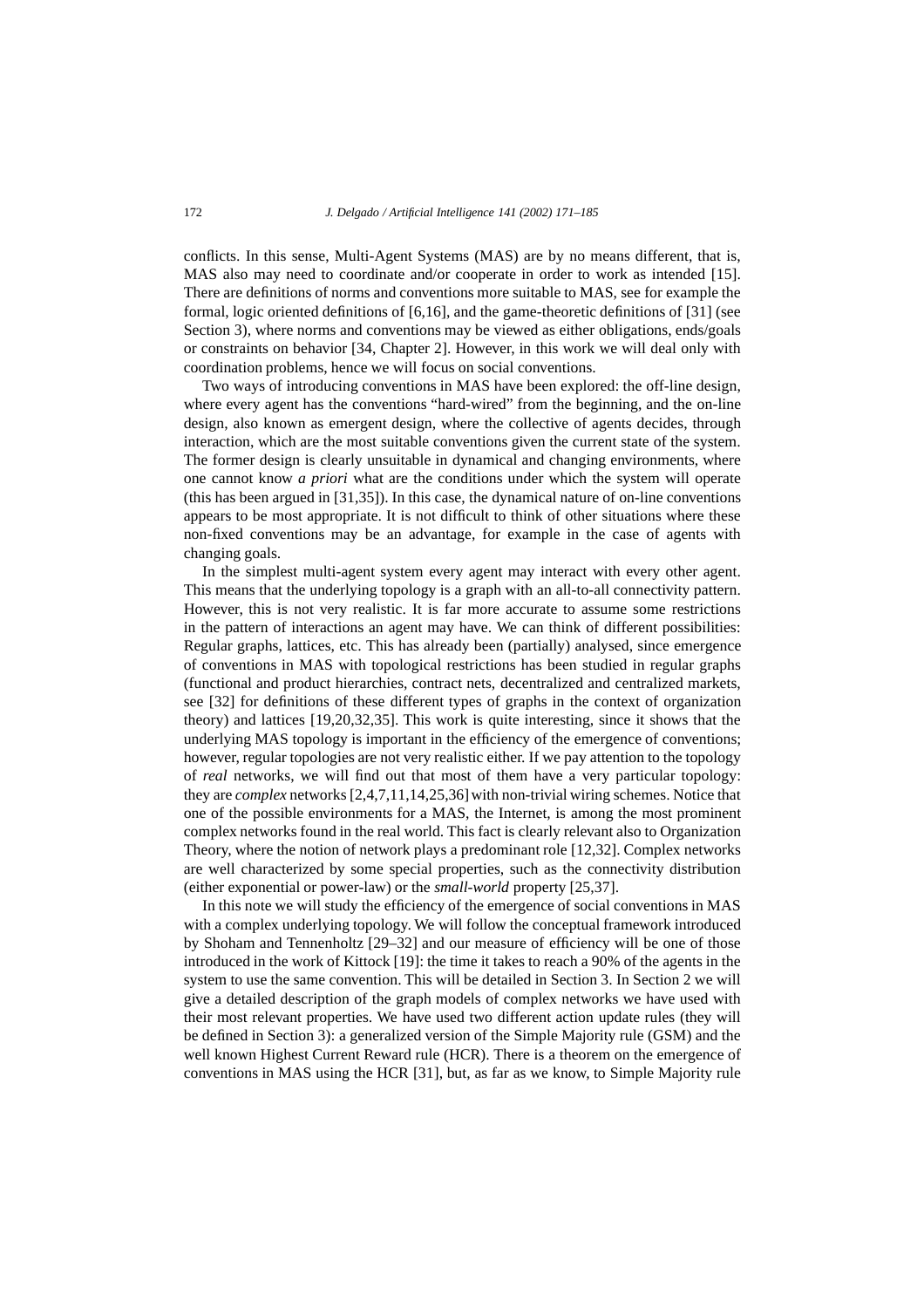conflicts. In this sense, Multi-Agent Systems (MAS) are by no means different, that is, MAS also may need to coordinate and/or cooperate in order to work as intended [15]. There are definitions of norms and conventions more suitable to MAS, see for example the formal, logic oriented definitions of [6,16], and the game-theoretic definitions of [31] (see Section 3), where norms and conventions may be viewed as either obligations, ends/goals or constraints on behavior [34, Chapter 2]. However, in this work we will deal only with coordination problems, hence we will focus on social conventions.

Two ways of introducing conventions in MAS have been explored: the off-line design, where every agent has the conventions "hard-wired" from the beginning, and the on-line design, also known as emergent design, where the collective of agents decides, through interaction, which are the most suitable conventions given the current state of the system. The former design is clearly unsuitable in dynamical and changing environments, where one cannot know *a priori* what are the conditions under which the system will operate (this has been argued in [31,35]). In this case, the dynamical nature of on-line conventions appears to be most appropriate. It is not difficult to think of other situations where these non-fixed conventions may be an advantage, for example in the case of agents with changing goals.

In the simplest multi-agent system every agent may interact with every other agent. This means that the underlying topology is a graph with an all-to-all connectivity pattern. However, this is not very realistic. It is far more accurate to assume some restrictions in the pattern of interactions an agent may have. We can think of different possibilities: Regular graphs, lattices, etc. This has already been (partially) analysed, since emergence of conventions in MAS with topological restrictions has been studied in regular graphs (functional and product hierarchies, contract nets, decentralized and centralized markets, see [32] for definitions of these different types of graphs in the context of organization theory) and lattices [19,20,32,35]. This work is quite interesting, since it shows that the underlying MAS topology is important in the efficiency of the emergence of conventions; however, regular topologies are not very realistic either. If we pay attention to the topology of *real* networks, we will find out that most of them have a very particular topology: they are *complex* networks [2,4,7,11,14,25,36] with non-trivial wiring schemes. Notice that one of the possible environments for a MAS, the Internet, is among the most prominent complex networks found in the real world. This fact is clearly relevant also to Organization Theory, where the notion of network plays a predominant role [12,32]. Complex networks are well characterized by some special properties, such as the connectivity distribution (either exponential or power-law) or the *small-world* property [25,37].

In this note we will study the efficiency of the emergence of social conventions in MAS with a complex underlying topology. We will follow the conceptual framework introduced by Shoham and Tennenholtz [29–32] and our measure of efficiency will be one of those introduced in the work of Kittock [19]: the time it takes to reach a 90% of the agents in the system to use the same convention. This will be detailed in Section 3. In Section 2 we will give a detailed description of the graph models of complex networks we have used with their most relevant properties. We have used two different action update rules (they will be defined in Section 3): a generalized version of the Simple Majority rule (GSM) and the well known Highest Current Reward rule (HCR). There is a theorem on the emergence of conventions in MAS using the HCR [31], but, as far as we know, to Simple Majority rule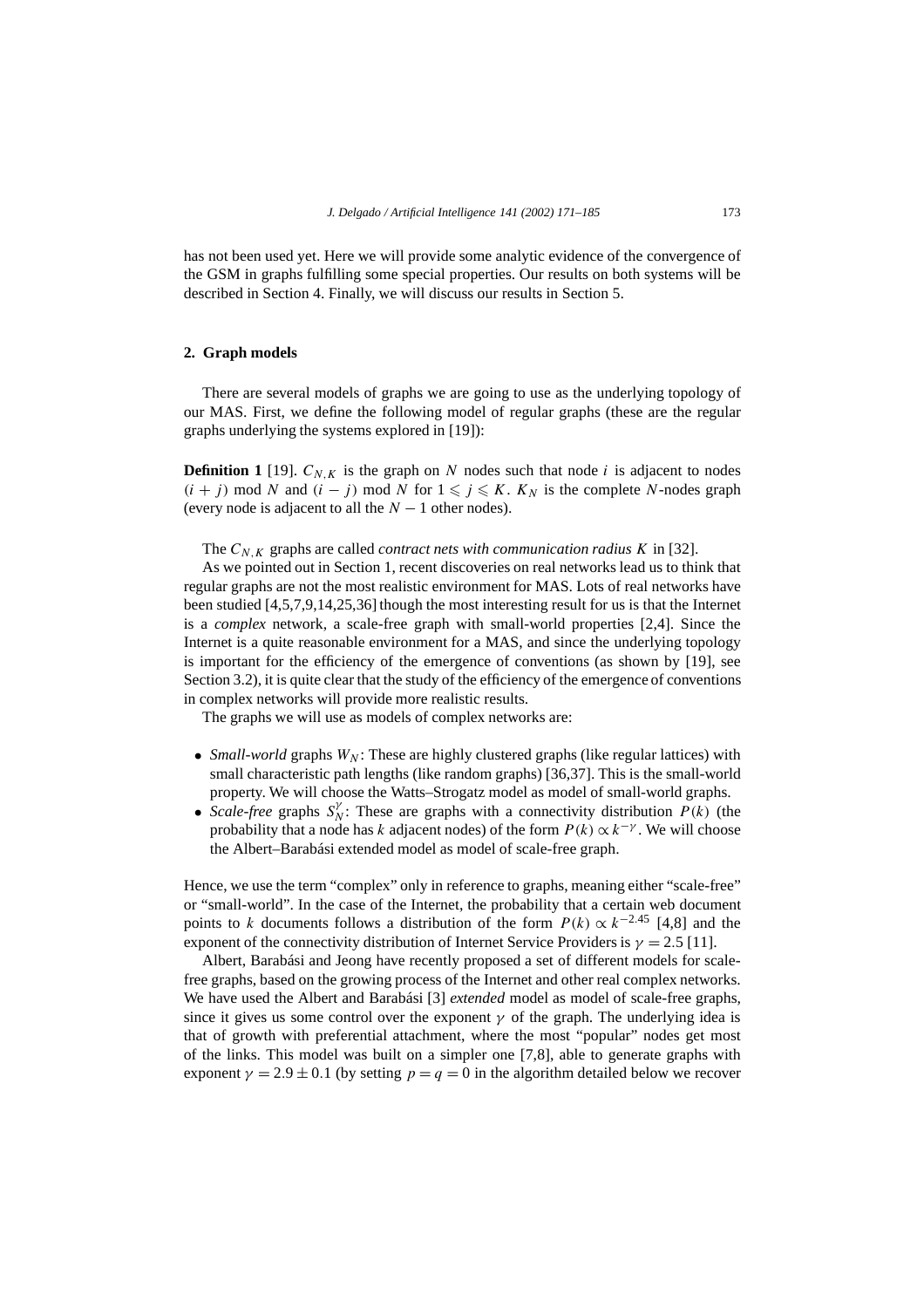has not been used yet. Here we will provide some analytic evidence of the convergence of the GSM in graphs fulfilling some special properties. Our results on both systems will be described in Section 4. Finally, we will discuss our results in Section 5.

# **2. Graph models**

There are several models of graphs we are going to use as the underlying topology of our MAS. First, we define the following model of regular graphs (these are the regular graphs underlying the systems explored in [19]):

**Definition 1** [19].  $C_{N,K}$  is the graph on *N* nodes such that node *i* is adjacent to nodes *(i* + *j*) mod *N* and *(i* − *j*) mod *N* for  $1 \leq j \leq K$ .  $K_N$  is the complete *N*-nodes graph (every node is adjacent to all the  $N - 1$  other nodes).

The  $C_{N,K}$  graphs are called *contract nets with communication radius*  $K$  in [32].

As we pointed out in Section 1, recent discoveries on real networks lead us to think that regular graphs are not the most realistic environment for MAS. Lots of real networks have been studied [4,5,7,9,14,25,36] though the most interesting result for us is that the Internet is a *complex* network, a scale-free graph with small-world properties [2,4]. Since the Internet is a quite reasonable environment for a MAS, and since the underlying topology is important for the efficiency of the emergence of conventions (as shown by [19], see Section 3.2), it is quite clear that the study of the efficiency of the emergence of conventions in complex networks will provide more realistic results.

The graphs we will use as models of complex networks are:

- *Small-world* graphs  $W_N$ : These are highly clustered graphs (like regular lattices) with small characteristic path lengths (like random graphs) [36,37]. This is the small-world property. We will choose the Watts–Strogatz model as model of small-world graphs.
- *Scale-free* graphs  $S_N^{\gamma}$ : These are graphs with a connectivity distribution  $P(k)$  (the probability that a node has *k* adjacent nodes) of the form  $P(k) \propto k^{-\gamma}$ . We will choose the Albert–Barabási extended model as model of scale-free graph.

Hence, we use the term "complex" only in reference to graphs, meaning either "scale-free" or "small-world". In the case of the Internet, the probability that a certain web document points to *k* documents follows a distribution of the form  $P(k) \propto k^{-2.45}$  [4,8] and the exponent of the connectivity distribution of Internet Service Providers is  $\gamma = 2.5$  [11].

Albert, Barabási and Jeong have recently proposed a set of different models for scalefree graphs, based on the growing process of the Internet and other real complex networks. We have used the Albert and Barabási [3] *extended* model as model of scale-free graphs, since it gives us some control over the exponent  $\gamma$  of the graph. The underlying idea is that of growth with preferential attachment, where the most "popular" nodes get most of the links. This model was built on a simpler one [7,8], able to generate graphs with exponent  $\gamma = 2.9 \pm 0.1$  (by setting  $p = q = 0$  in the algorithm detailed below we recover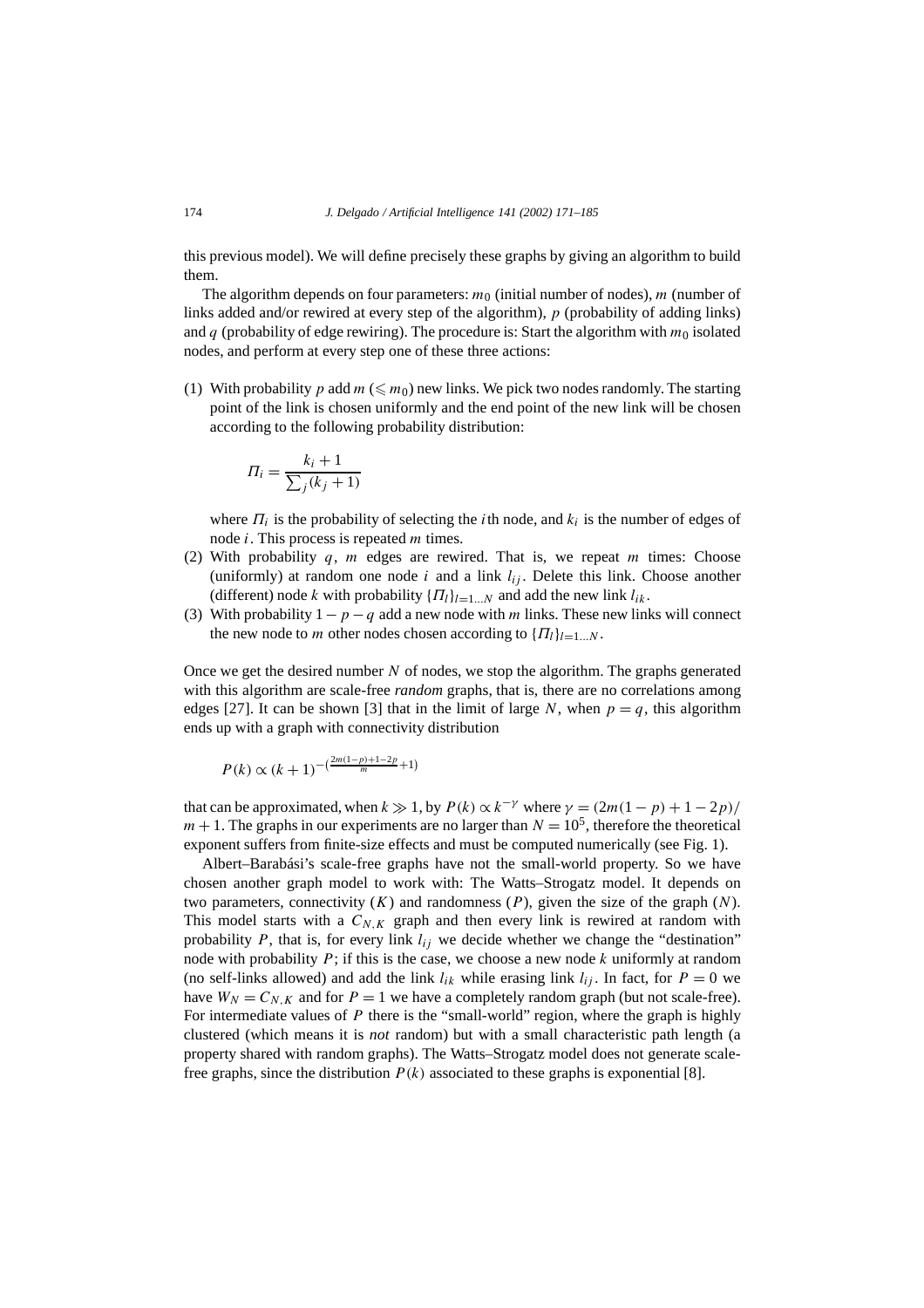this previous model). We will define precisely these graphs by giving an algorithm to build them.

The algorithm depends on four parameters:  $m_0$  (initial number of nodes),  $m$  (number of links added and/or rewired at every step of the algorithm), *p* (probability of adding links) and *q* (probability of edge rewiring). The procedure is: Start the algorithm with  $m_0$  isolated nodes, and perform at every step one of these three actions:

(1) With probability p add  $m \leq m_0$ ) new links. We pick two nodes randomly. The starting point of the link is chosen uniformly and the end point of the new link will be chosen according to the following probability distribution:

$$
\Pi_i = \frac{k_i + 1}{\sum_j (k_j + 1)}
$$

where  $\Pi_i$  is the probability of selecting the *i*th node, and  $k_i$  is the number of edges of node *i*. This process is repeated *m* times.

- (2) With probability *q*, *m* edges are rewired. That is, we repeat *m* times: Choose (uniformly) at random one node  $i$  and a link  $l_{ij}$ . Delete this link. Choose another (different) node *k* with probability  $\{ \Pi_l \}_{l=1...N}$  and add the new link  $l_{ik}$ .
- (3) With probability  $1-p-q$  add a new node with *m* links. These new links will connect the new node to *m* other nodes chosen according to  ${T_l}_{l=1...N}$ .

Once we get the desired number *N* of nodes, we stop the algorithm. The graphs generated with this algorithm are scale-free *random* graphs, that is, there are no correlations among edges [27]. It can be shown [3] that in the limit of large *N*, when  $p = q$ , this algorithm ends up with a graph with connectivity distribution

$$
P(k) \propto (k+1)^{-\left(\frac{2m(1-p)+1-2p}{m}+1\right)}
$$

that can be approximated, when  $k \gg 1$ , by  $P(k) \propto k^{-\gamma}$  where  $\gamma = (2m(1-p) + 1 - 2p)$ /  $m + 1$ . The graphs in our experiments are no larger than  $N = 10<sup>5</sup>$ , therefore the theoretical exponent suffers from finite-size effects and must be computed numerically (see Fig. 1).

Albert–Barabási's scale-free graphs have not the small-world property. So we have chosen another graph model to work with: The Watts–Strogatz model. It depends on two parameters, connectivity (*K*) and randomness (*P*), given the size of the graph (*N*). This model starts with a  $C_{N,K}$  graph and then every link is rewired at random with probability  $P$ , that is, for every link  $l_{ij}$  we decide whether we change the "destination" node with probability *P*; if this is the case, we choose a new node *k* uniformly at random (no self-links allowed) and add the link  $l_{ik}$  while erasing link  $l_{ij}$ . In fact, for  $P = 0$  we have  $W_N = C_{N,K}$  and for  $P = 1$  we have a completely random graph (but not scale-free). For intermediate values of *P* there is the "small-world" region, where the graph is highly clustered (which means it is *not* random) but with a small characteristic path length (a property shared with random graphs). The Watts–Strogatz model does not generate scalefree graphs, since the distribution  $P(k)$  associated to these graphs is exponential [8].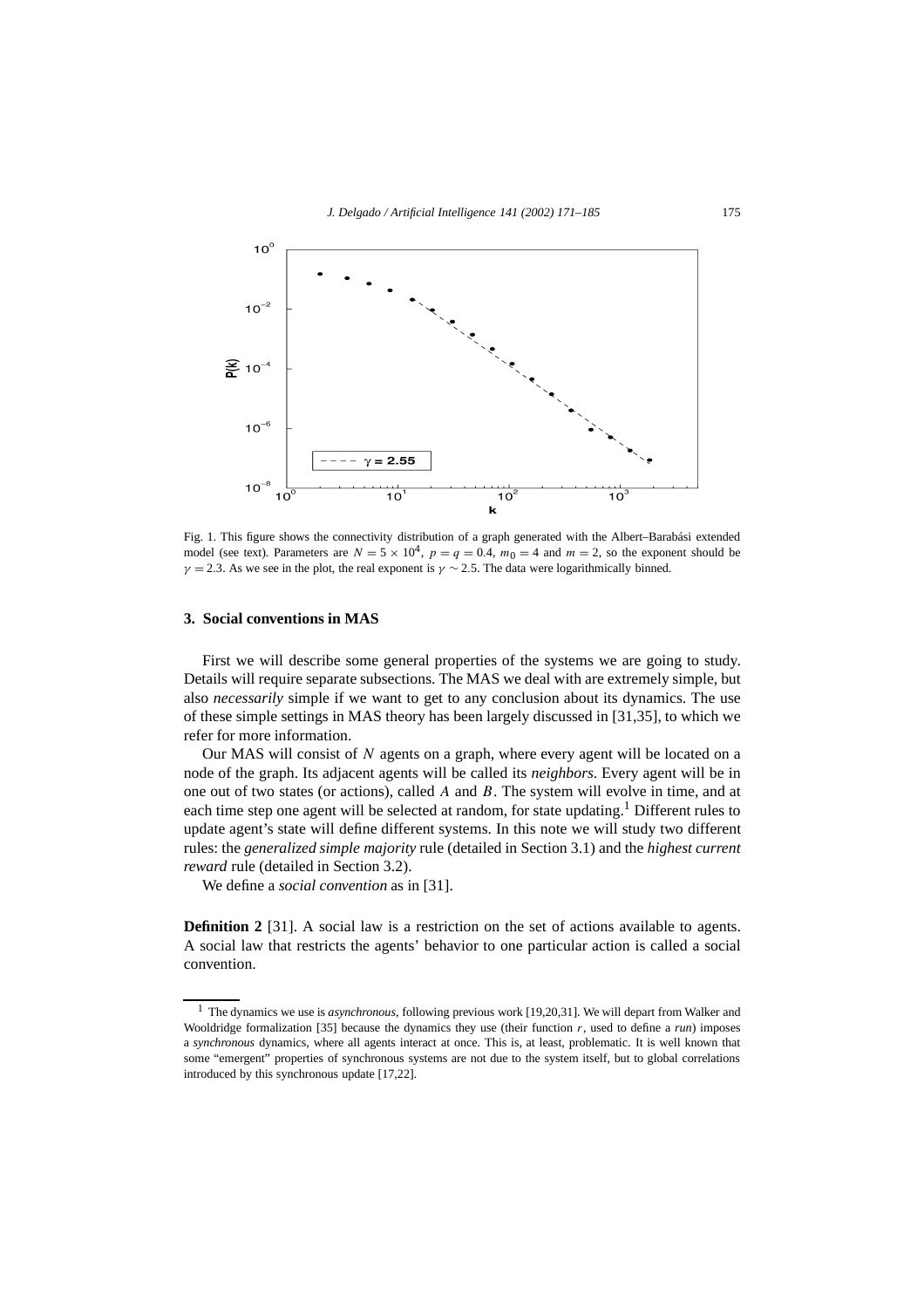

Fig. 1. This figure shows the connectivity distribution of a graph generated with the Albert–Barabási extended model (see text). Parameters are  $N = 5 \times 10^4$ ,  $p = q = 0.4$ ,  $m_0 = 4$  and  $m = 2$ , so the exponent should be  $\gamma = 2.3$ . As we see in the plot, the real exponent is  $\gamma \sim 2.5$ . The data were logarithmically binned.

#### **3. Social conventions in MAS**

First we will describe some general properties of the systems we are going to study. Details will require separate subsections. The MAS we deal with are extremely simple, but also *necessarily* simple if we want to get to any conclusion about its dynamics. The use of these simple settings in MAS theory has been largely discussed in [31,35], to which we refer for more information.

Our MAS will consist of *N* agents on a graph, where every agent will be located on a node of the graph. Its adjacent agents will be called its *neighbors*. Every agent will be in one out of two states (or actions), called *A* and *B*. The system will evolve in time, and at each time step one agent will be selected at random, for state updating.<sup>1</sup> Different rules to update agent's state will define different systems. In this note we will study two different rules: the *generalized simple majority* rule (detailed in Section 3.1) and the *highest current reward* rule (detailed in Section 3.2).

We define a *social convention* as in [31].

**Definition 2** [31]. A social law is a restriction on the set of actions available to agents. A social law that restricts the agents' behavior to one particular action is called a social convention.

<sup>&</sup>lt;sup>1</sup> The dynamics we use is *asynchronous*, following previous work [19,20,31]. We will depart from Walker and Wooldridge formalization [35] because the dynamics they use (their function *r*, used to define a *run*) imposes a *synchronous* dynamics, where all agents interact at once. This is, at least, problematic. It is well known that some "emergent" properties of synchronous systems are not due to the system itself, but to global correlations introduced by this synchronous update [17,22].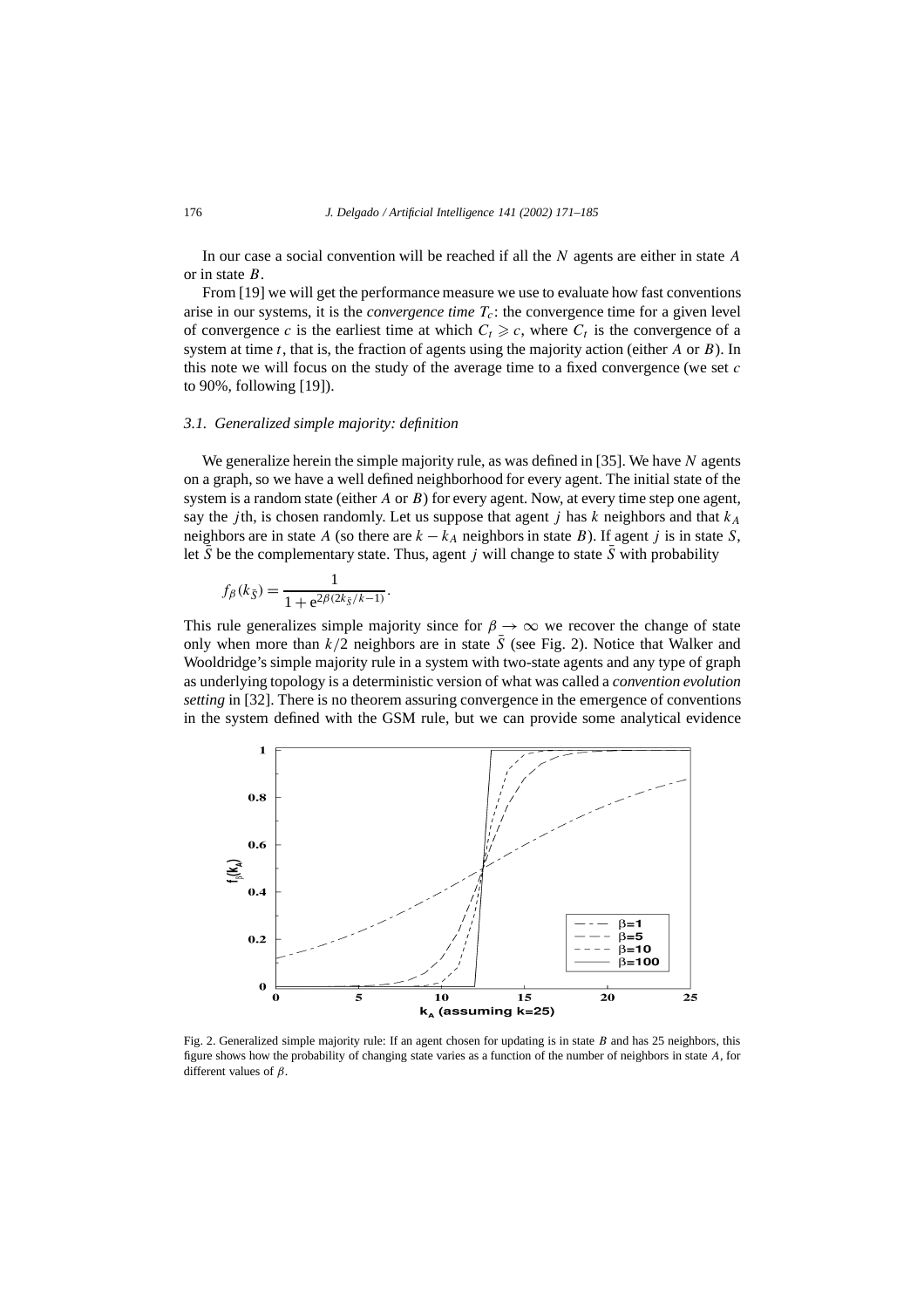In our case a social convention will be reached if all the *N* agents are either in state *A* or in state *B*.

From [19] we will get the performance measure we use to evaluate how fast conventions arise in our systems, it is the *convergence time*  $T_c$ : the convergence time for a given level of convergence *c* is the earliest time at which  $C_t \geq c$ , where  $C_t$  is the convergence of a system at time *t*, that is, the fraction of agents using the majority action (either *A* or *B*). In this note we will focus on the study of the average time to a fixed convergence (we set *c* to 90%, following [19]).

### *3.1. Generalized simple majority: definition*

We generalize herein the simple majority rule, as was defined in [35]. We have *N* agents on a graph, so we have a well defined neighborhood for every agent. The initial state of the system is a random state (either *A* or *B*) for every agent. Now, at every time step one agent, say the *j*th, is chosen randomly. Let us suppose that agent *j* has  $k$  neighbors and that  $k_A$ neighbors are in state *A* (so there are  $k - k_A$  neighbors in state *B*). If agent *j* is in state *S*, let  $\bar{S}$  be the complementary state. Thus, agent *j* will change to state  $\bar{S}$  with probability

$$
f_{\beta}(k_{\bar{S}}) = \frac{1}{1 + e^{2\beta(2k_{\bar{S}}/k - 1)}}.
$$

This rule generalizes simple majority since for  $\beta \to \infty$  we recover the change of state only when more than  $k/2$  neighbors are in state  $\overline{S}$  (see Fig. 2). Notice that Walker and Wooldridge's simple majority rule in a system with two-state agents and any type of graph as underlying topology is a deterministic version of what was called a *convention evolution setting* in [32]. There is no theorem assuring convergence in the emergence of conventions in the system defined with the GSM rule, but we can provide some analytical evidence



Fig. 2. Generalized simple majority rule: If an agent chosen for updating is in state *B* and has 25 neighbors, this figure shows how the probability of changing state varies as a function of the number of neighbors in state *A*, for different values of *β*.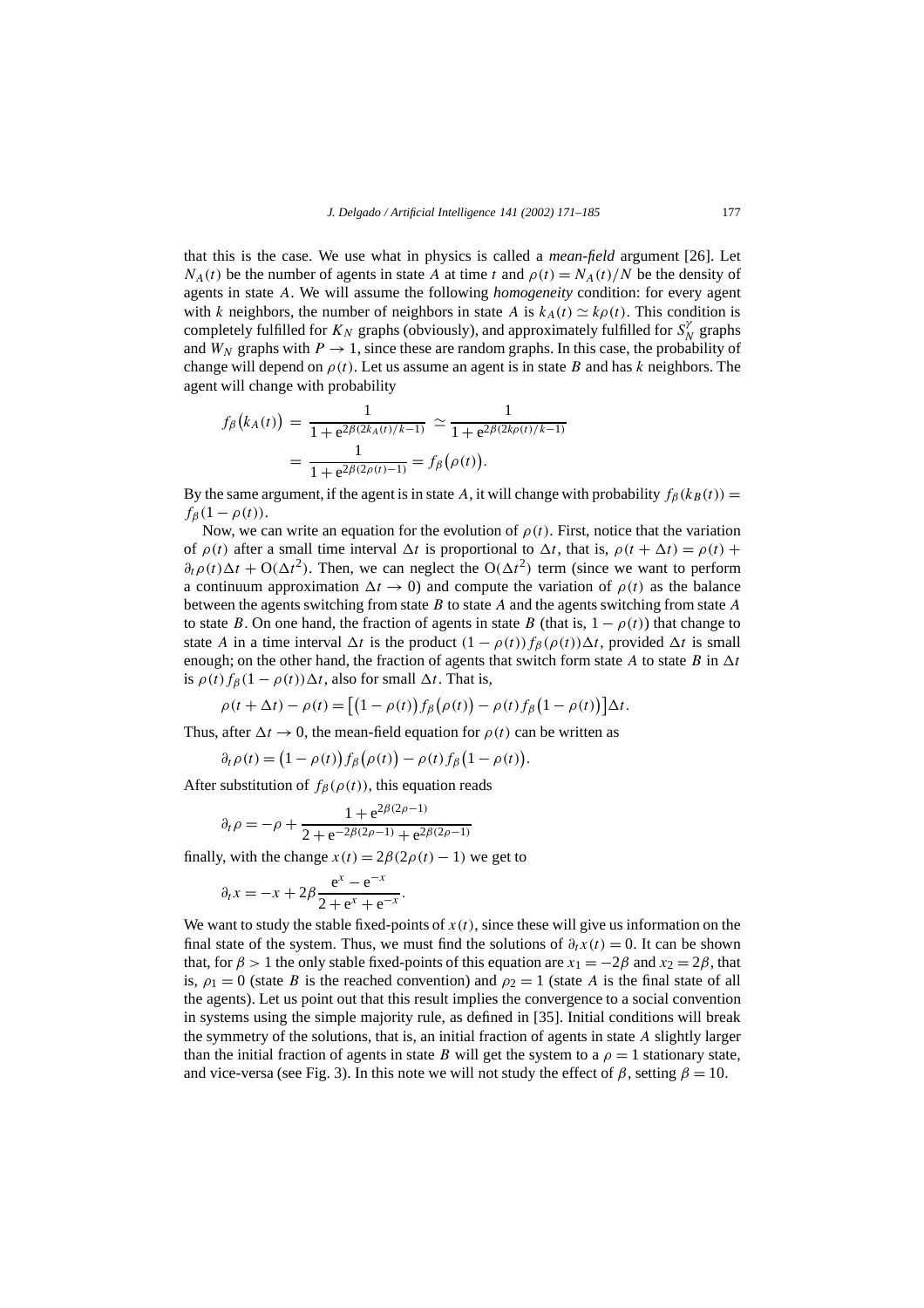that this is the case. We use what in physics is called a *mean-field* argument [26]. Let  $N_A(t)$  be the number of agents in state *A* at time *t* and  $\rho(t) = N_A(t)/N$  be the density of agents in state *A*. We will assume the following *homogeneity* condition: for every agent with *k* neighbors, the number of neighbors in state *A* is  $k_A(t) \simeq k \rho(t)$ . This condition is completely fulfilled for  $K_N$  graphs (obviously), and approximately fulfilled for  $S_N^{\gamma}$  graphs and  $W_N$  graphs with  $P \to 1$ , since these are random graphs. In this case, the probability of change will depend on  $\rho(t)$ . Let us assume an agent is in state *B* and has *k* neighbors. The agent will change with probability

$$
f_{\beta}(k_A(t)) = \frac{1}{1 + e^{2\beta(2k_A(t)/k-1)}} \simeq \frac{1}{1 + e^{2\beta(2k\rho(t)/k-1)}}
$$
  
= 
$$
\frac{1}{1 + e^{2\beta(2\rho(t)-1)}} = f_{\beta}(\rho(t)).
$$

By the same argument, if the agent is in state *A*, it will change with probability  $f_\beta(k_B(t)) =$ *f*<sub>*β*</sub> $(1 - \rho(t)).$ 

Now, we can write an equation for the evolution of  $\rho(t)$ . First, notice that the variation of  $\rho(t)$  after a small time interval  $\Delta t$  is proportional to  $\Delta t$ , that is,  $\rho(t + \Delta t) = \rho(t) +$  $\partial_t \rho(t) \Delta t + O(\Delta t^2)$ . Then, we can neglect the  $O(\Delta t^2)$  term (since we want to perform a continuum approximation  $\Delta t \rightarrow 0$ ) and compute the variation of  $\rho(t)$  as the balance between the agents switching from state *B* to state *A* and the agents switching from state *A* to state *B*. On one hand, the fraction of agents in state *B* (that is,  $1 - \rho(t)$ ) that change to state *A* in a time interval  $\Delta t$  is the product  $(1 - \rho(t)) f_\beta(\rho(t)) \Delta t$ , provided  $\Delta t$  is small enough; on the other hand, the fraction of agents that switch form state *A* to state *B* in  $\Delta t$ is  $\rho(t) f_\beta(1 - \rho(t)) \Delta t$ , also for small  $\Delta t$ . That is,

$$
\rho(t + \Delta t) - \rho(t) = \left[ \left( 1 - \rho(t) \right) f_{\beta} \left( \rho(t) \right) - \rho(t) f_{\beta} \left( 1 - \rho(t) \right) \right] \Delta t.
$$

Thus, after  $\Delta t \rightarrow 0$ , the mean-field equation for  $\rho(t)$  can be written as

$$
\partial_t \rho(t) = (1 - \rho(t)) f_\beta(\rho(t)) - \rho(t) f_\beta(1 - \rho(t)).
$$

After substitution of  $f_\beta(\rho(t))$ , this equation reads

$$
\partial_t \rho = -\rho + \frac{1 + e^{2\beta(2\rho - 1)}}{2 + e^{-2\beta(2\rho - 1)} + e^{2\beta(2\rho - 1)}}
$$

finally, with the change  $x(t) = 2\beta(2\rho(t) - 1)$  we get to

$$
\partial_t x = -x + 2\beta \frac{e^x - e^{-x}}{2 + e^x + e^{-x}}.
$$

We want to study the stable fixed-points of  $x(t)$ , since these will give us information on the final state of the system. Thus, we must find the solutions of  $\partial_t x(t) = 0$ . It can be shown that, for  $\beta > 1$  the only stable fixed-points of this equation are  $x_1 = -2\beta$  and  $x_2 = 2\beta$ , that is,  $\rho_1 = 0$  (state *B* is the reached convention) and  $\rho_2 = 1$  (state *A* is the final state of all the agents). Let us point out that this result implies the convergence to a social convention in systems using the simple majority rule, as defined in [35]. Initial conditions will break the symmetry of the solutions, that is, an initial fraction of agents in state *A* slightly larger than the initial fraction of agents in state *B* will get the system to a  $\rho = 1$  stationary state, and vice-versa (see Fig. 3). In this note we will not study the effect of  $\beta$ , setting  $\beta = 10$ .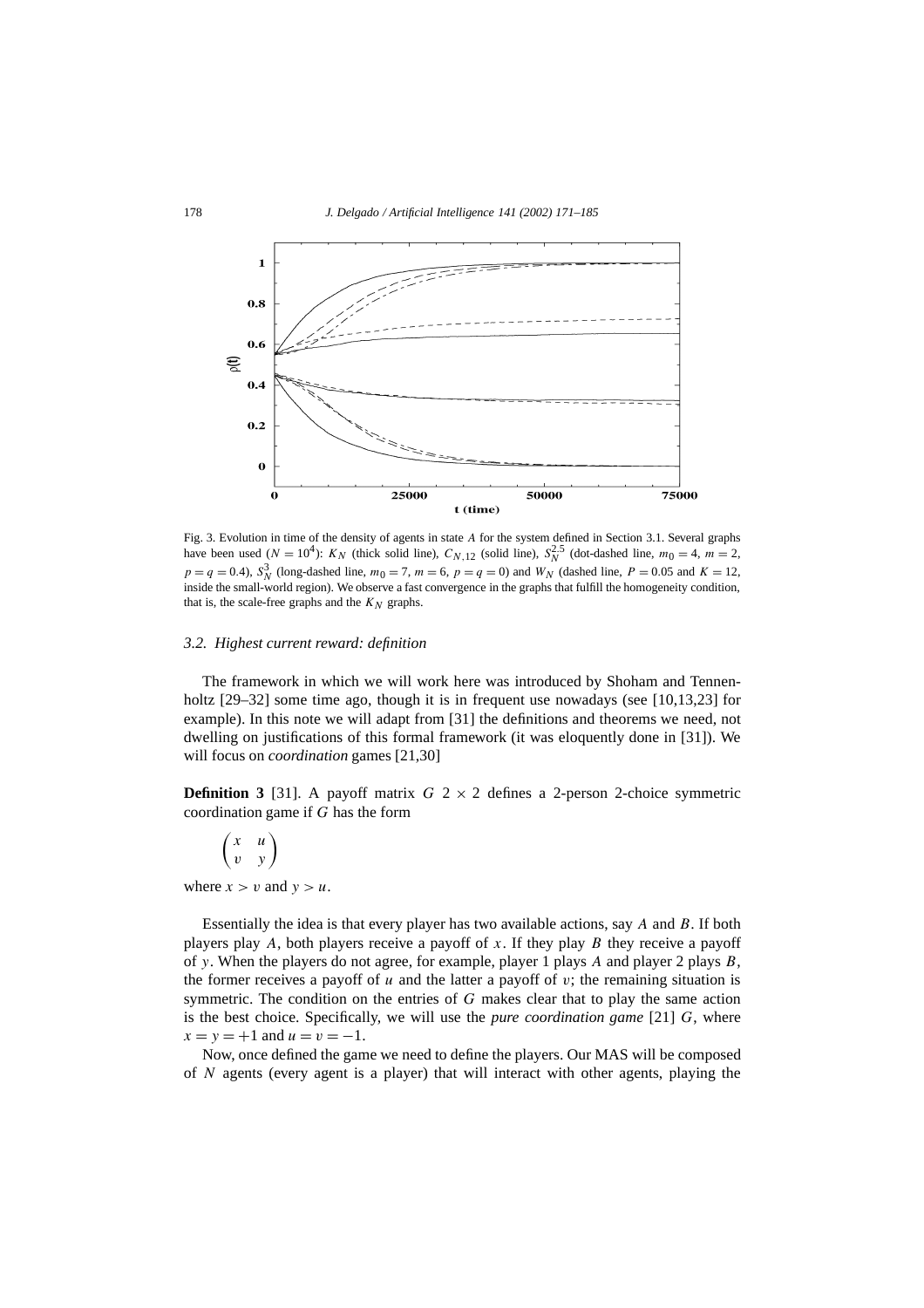

Fig. 3. Evolution in time of the density of agents in state *A* for the system defined in Section 3.1. Several graphs have been used  $(N = 10^4)$ :  $K_N$  (thick solid line),  $C_{N,12}$  (solid line),  $S_N^{2.5}$  (dot-dashed line,  $m_0 = 4$ ,  $m = 2$ ,  $p = q = 0.4$ ),  $S_N^3$  (long-dashed line,  $m_0 = 7$ ,  $m = 6$ ,  $p = q = 0$ ) and  $W_N$  (dashed line,  $P = 0.05$  and  $K = 12$ , inside the small-world region). We observe a fast convergence in the graphs that fulfill the homogeneity condition, that is, the scale-free graphs and the  $K_N$  graphs.

#### *3.2. Highest current reward: definition*

The framework in which we will work here was introduced by Shoham and Tennenholtz  $[29-32]$  some time ago, though it is in frequent use nowadays (see [10,13,23] for example). In this note we will adapt from [31] the definitions and theorems we need, not dwelling on justifications of this formal framework (it was eloquently done in [31]). We will focus on *coordination* games [21,30]

**Definition 3** [31]. A payoff matrix  $G \times 2 \times 2$  defines a 2-person 2-choice symmetric coordination game if *G* has the form

$$
\begin{pmatrix} x & u \\ v & y \end{pmatrix}
$$

where  $x > v$  and  $y > u$ .

Essentially the idea is that every player has two available actions, say *A* and *B*. If both players play *A*, both players receive a payoff of *x*. If they play *B* they receive a payoff of *y*. When the players do not agree, for example, player 1 plays *A* and player 2 plays *B*, the former receives a payoff of  $u$  and the latter a payoff of  $v$ ; the remaining situation is symmetric. The condition on the entries of *G* makes clear that to play the same action is the best choice. Specifically, we will use the *pure coordination game* [21] *G*, where  $x = y = +1$  and  $u = v = -1$ .

Now, once defined the game we need to define the players. Our MAS will be composed of *N* agents (every agent is a player) that will interact with other agents, playing the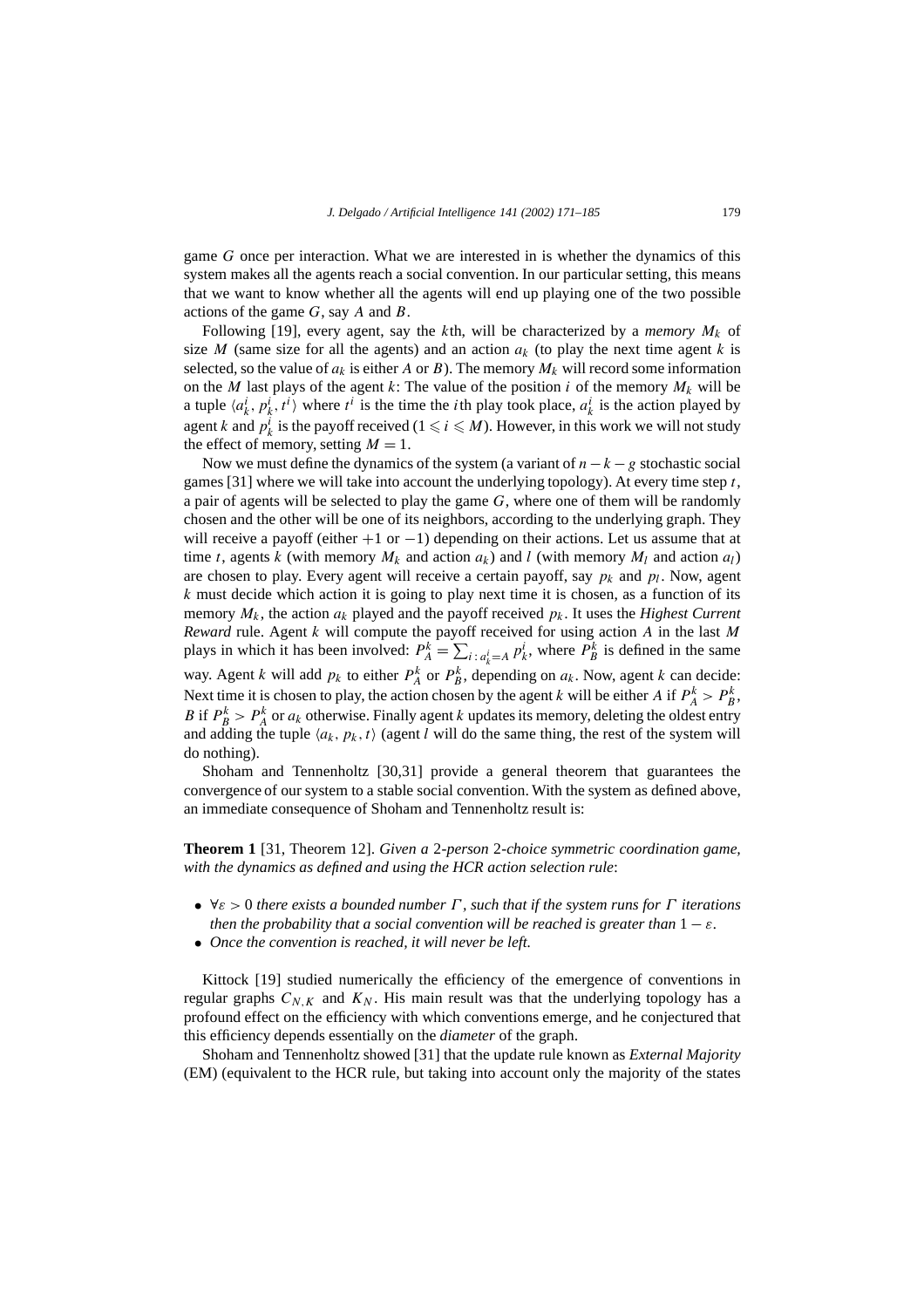game *G* once per interaction. What we are interested in is whether the dynamics of this system makes all the agents reach a social convention. In our particular setting, this means that we want to know whether all the agents will end up playing one of the two possible actions of the game *G*, say *A* and *B*.

Following [19], every agent, say the *k*th, will be characterized by a *memory Mk* of size *M* (same size for all the agents) and an action  $a_k$  (to play the next time agent *k* is selected, so the value of  $a_k$  is either *A* or *B*). The memory  $M_k$  will record some information on the *M* last plays of the agent *k*: The value of the position *i* of the memory  $M_k$  will be a tuple  $\langle a_k^i, p_k^i, t^i \rangle$  where  $t^i$  is the time the *i*th play took place,  $a_k^i$  is the action played by agent *k* and  $p_k^i$  is the payoff received ( $1 \leq i \leq M$ ). However, in this work we will not study the effect of memory, setting  $M = 1$ .

Now we must define the dynamics of the system (a variant of  $n-k-g$  stochastic social games [31] where we will take into account the underlying topology). At every time step *t*, a pair of agents will be selected to play the game *G*, where one of them will be randomly chosen and the other will be one of its neighbors, according to the underlying graph. They will receive a payoff (either  $+1$  or  $-1$ ) depending on their actions. Let us assume that at time *t*, agents *k* (with memory  $M_k$  and action  $a_k$ ) and *l* (with memory  $M_l$  and action  $a_l$ ) are chosen to play. Every agent will receive a certain payoff, say  $p_k$  and  $p_l$ . Now, agent *k* must decide which action it is going to play next time it is chosen, as a function of its memory  $M_k$ , the action  $a_k$  played and the payoff received  $p_k$ . It uses the *Highest Current Reward* rule. Agent *k* will compute the payoff received for using action *A* in the last *M* plays in which it has been involved:  $P_A^k = \sum_{i \, : \, a_k^i = A} p_k^i$ , where  $P_B^k$  is defined in the same way. Agent *k* will add  $p_k$  to either  $P_A^k$  or  $P_B^k$ , depending on  $a_k$ . Now, agent *k* can decide: Next time it is chosen to play, the action chosen by the agent *k* will be either *A* if  $P_A^k > P_B^k$ , *B* if  $P_B^k > P_A^k$  or  $a_k$  otherwise. Finally agent *k* updates its memory, deleting the oldest entry and adding the tuple  $\langle a_k, p_k, t \rangle$  (agent *l* will do the same thing, the rest of the system will do nothing).

Shoham and Tennenholtz [30,31] provide a general theorem that guarantees the convergence of our system to a stable social convention. With the system as defined above, an immediate consequence of Shoham and Tennenholtz result is:

**Theorem 1** [31, Theorem 12]. *Given a* 2*-person* 2*-choice symmetric coordination game, with the dynamics as defined and using the HCR action selection rule*:

- ∀*ε >* 0 *there exists a bounded number Γ , such that if the system runs for Γ iterations then the probability that a social convention will be reached is greater than*  $1 - \varepsilon$ *.*
- *Once the convention is reached, it will never be left.*

Kittock [19] studied numerically the efficiency of the emergence of conventions in regular graphs  $C_{N,K}$  and  $K_N$ . His main result was that the underlying topology has a profound effect on the efficiency with which conventions emerge, and he conjectured that this efficiency depends essentially on the *diameter* of the graph.

Shoham and Tennenholtz showed [31] that the update rule known as *External Majority* (EM) (equivalent to the HCR rule, but taking into account only the majority of the states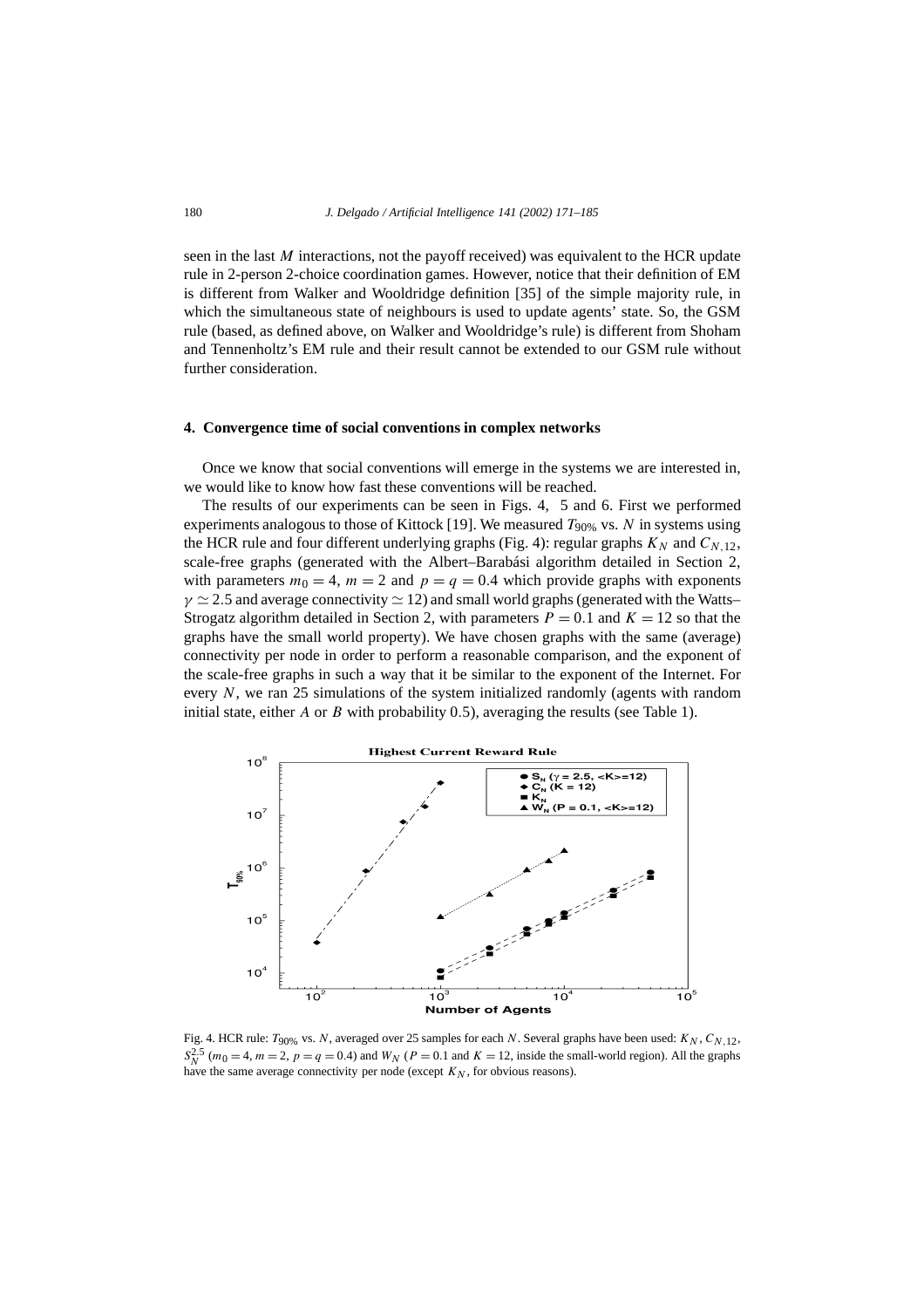seen in the last *M* interactions, not the payoff received) was equivalent to the HCR update rule in 2-person 2-choice coordination games. However, notice that their definition of EM is different from Walker and Wooldridge definition [35] of the simple majority rule, in which the simultaneous state of neighbours is used to update agents' state. So, the GSM rule (based, as defined above, on Walker and Wooldridge's rule) is different from Shoham and Tennenholtz's EM rule and their result cannot be extended to our GSM rule without further consideration.

#### **4. Convergence time of social conventions in complex networks**

Once we know that social conventions will emerge in the systems we are interested in, we would like to know how fast these conventions will be reached.

The results of our experiments can be seen in Figs. 4, 5 and 6. First we performed experiments analogous to those of Kittock [19]. We measured *T*90% vs. *N* in systems using the HCR rule and four different underlying graphs (Fig. 4): regular graphs  $K_N$  and  $C_{N,12}$ , scale-free graphs (generated with the Albert–Barabási algorithm detailed in Section 2, with parameters  $m_0 = 4$ ,  $m = 2$  and  $p = q = 0.4$  which provide graphs with exponents  $\gamma \simeq$  2.5 and average connectivity  $\simeq$  12) and small world graphs (generated with the Watts– Strogatz algorithm detailed in Section 2, with parameters  $P = 0.1$  and  $K = 12$  so that the graphs have the small world property). We have chosen graphs with the same (average) connectivity per node in order to perform a reasonable comparison, and the exponent of the scale-free graphs in such a way that it be similar to the exponent of the Internet. For every *N*, we ran 25 simulations of the system initialized randomly (agents with random initial state, either *A* or *B* with probability 0*.*5), averaging the results (see Table 1).



Fig. 4. HCR rule: *T*90% vs. *N*, averaged over 25 samples for each *N*. Several graphs have been used: *KN* , *CN,*12,  $S_N^{2.5}$  (*m*<sub>0</sub> = 4, *m* = 2, *p* = *q* = 0.4) and *W<sub>N</sub>* (*P* = 0.1 and *K* = 12, inside the small-world region). All the graphs have the same average connectivity per node (except  $K_N$ , for obvious reasons).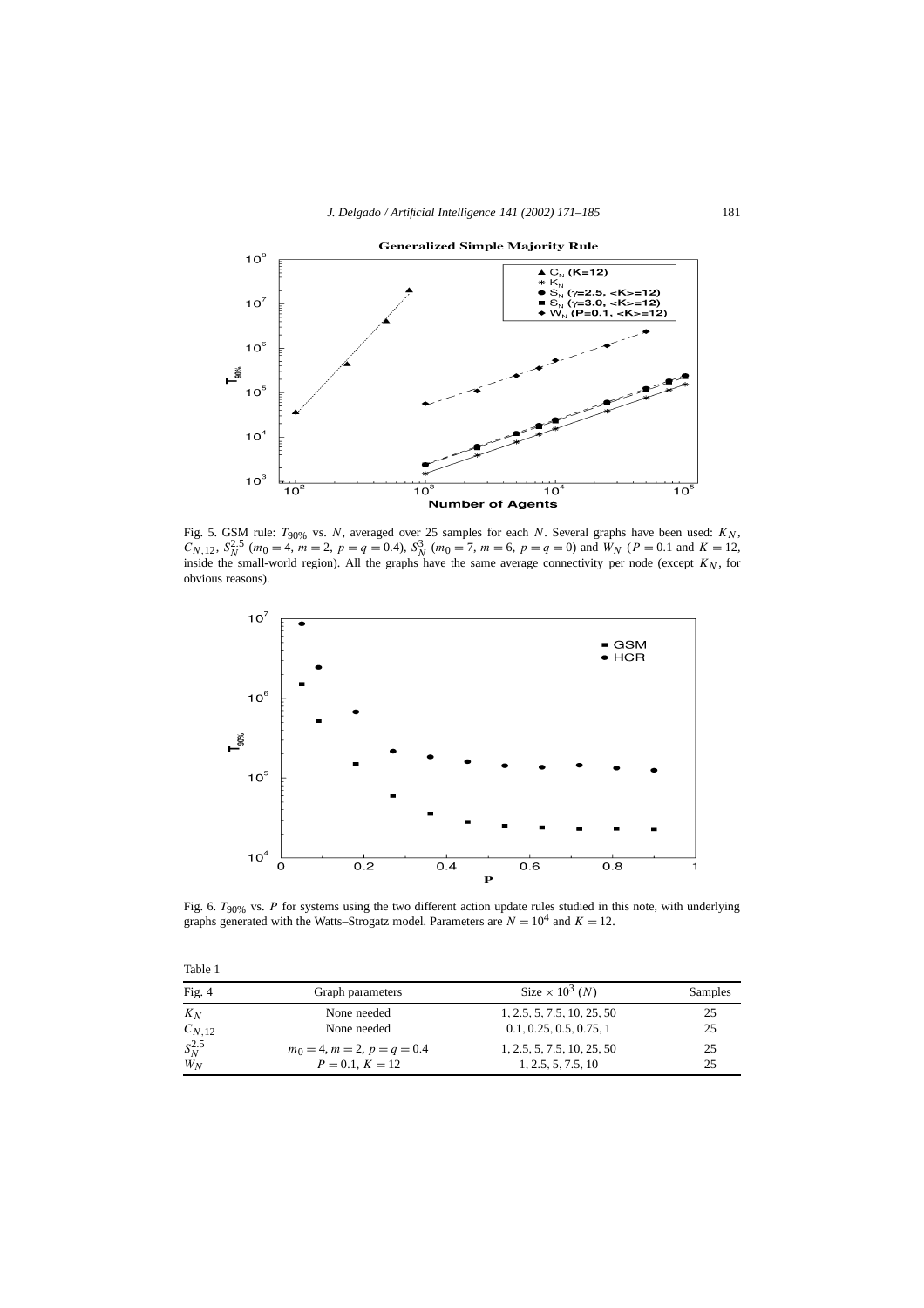

Fig. 5. GSM rule:  $T_{90\%}$  vs. N, averaged over 25 samples for each N. Several graphs have been used:  $K_N$ ,  $C_{N,12}$ ,  $S_N^{2.5}$  ( $m_0 = 4$ ,  $m = 2$ ,  $p = q = 0.4$ ),  $S_N^3$  ( $m_0 = 7$ ,  $m = 6$ ,  $p = q = 0$ ) and  $W_N$  ( $P = 0.1$  and inside the small-world region). All the graphs have the same average connectivity per node (except  $K_N$ , for obvious reasons).



Fig. 6. *T*<sub>90%</sub> vs. *P* for systems using the two different action update rules studied in this note, with underlying graphs generated with the Watts–Strogatz model. Parameters are  $N = 10^4$  and  $K = 12$ .

| Table 1     |                               |                                   |         |
|-------------|-------------------------------|-----------------------------------|---------|
| Fig. $4$    | Graph parameters              | Size $\times$ 10 <sup>3</sup> (N) | Samples |
| $K_N$       | None needed                   | 1, 2.5, 5, 7.5, 10, 25, 50        | 25      |
| $C_{N,12}$  | None needed                   | 0.1, 0.25, 0.5, 0.75, 1           | 25      |
| $S_N^{2,5}$ | $m_0 = 4, m = 2, p = q = 0.4$ | 1, 2.5, 5, 7.5, 10, 25, 50        | 25      |
| $W_N$       | $P = 0.1, K = 12$             | 1, 2.5, 5, 7.5, 10                | 25      |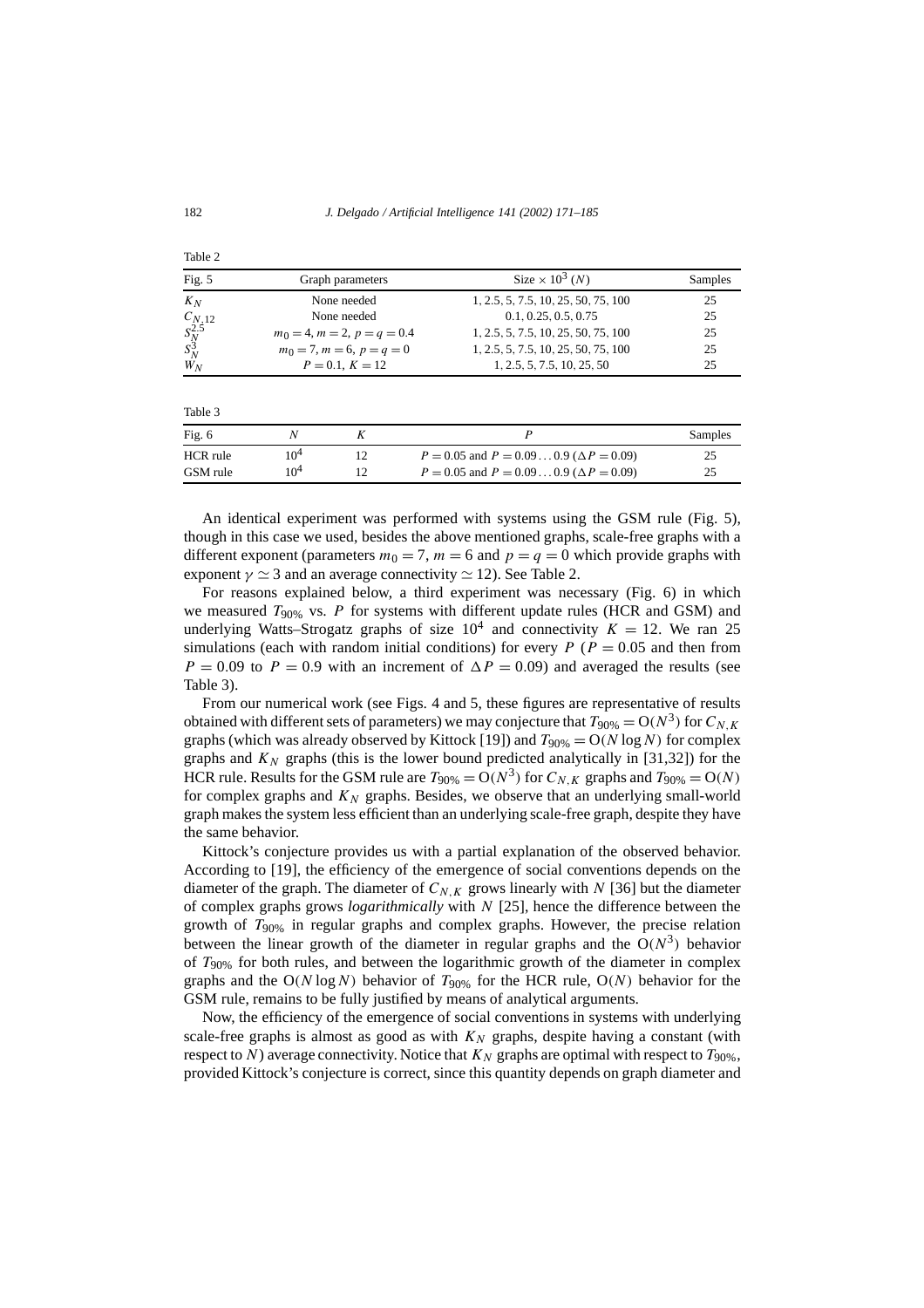| Fig. $5$                                                      | Graph parameters              |    | Size $\times$ 10 <sup>3</sup> (N)                  | Samples |
|---------------------------------------------------------------|-------------------------------|----|----------------------------------------------------|---------|
| $K_N$                                                         | None needed                   |    | 1, 2.5, 5, 7.5, 10, 25, 50, 75, 100                | 25      |
|                                                               | None needed                   |    | 0.1, 0.25, 0.5, 0.75                               | 25      |
| $\begin{array}{c} C_{N,12}\\ S_N^{2.5}\\ S_N^3\\ \end{array}$ | $m_0 = 4, m = 2, p = q = 0.4$ |    | 1, 2.5, 5, 7.5, 10, 25, 50, 75, 100                | 25      |
|                                                               | $m_0 = 7, m = 6, p = q = 0$   |    | 1, 2.5, 5, 7.5, 10, 25, 50, 75, 100                | 25      |
| $W_N$                                                         | $P = 0.1, K = 12$             |    | 1, 2.5, 5, 7.5, 10, 25, 50                         | 25      |
| Table 3                                                       |                               |    |                                                    |         |
|                                                               |                               |    |                                                    |         |
| Fig. $6$                                                      | N                             | K  | P                                                  | Samples |
| HCR rule                                                      | 10 <sup>4</sup>               | 12 | $P = 0.05$ and $P = 0.090.9$ ( $\Delta P = 0.09$ ) | 25      |

An identical experiment was performed with systems using the GSM rule (Fig. 5), though in this case we used, besides the above mentioned graphs, scale-free graphs with a different exponent (parameters  $m_0 = 7$ ,  $m = 6$  and  $p = q = 0$  which provide graphs with exponent  $\gamma \simeq 3$  and an average connectivity  $\simeq 12$ ). See Table 2.

GSM rule  $10^4$  12  $P = 0.05$  and  $P = 0.09...0.9 \ (\Delta P = 0.09)$  25

For reasons explained below, a third experiment was necessary (Fig. 6) in which we measured  $T_{90\%}$  vs. *P* for systems with different update rules (HCR and GSM) and underlying Watts–Strogatz graphs of size  $10^4$  and connectivity  $K = 12$ . We ran 25 simulations (each with random initial conditions) for every  $P(P = 0.05$  and then from  $P = 0.09$  to  $P = 0.9$  with an increment of  $\Delta P = 0.09$ ) and averaged the results (see Table 3).

From our numerical work (see Figs. 4 and 5, these figures are representative of results obtained with different sets of parameters) we may conjecture that  $T_{90\%} = O(N^3)$  for  $C_{N,K}$ graphs (which was already observed by Kittock [19]) and  $T_{90\%} = O(N \log N)$  for complex graphs and  $K_N$  graphs (this is the lower bound predicted analytically in [31,32]) for the HCR rule. Results for the GSM rule are  $T_{90\%} = O(N^3)$  for  $C_{N,K}$  graphs and  $T_{90\%} = O(N)$ for complex graphs and *KN* graphs. Besides, we observe that an underlying small-world graph makes the system less efficient than an underlying scale-free graph, despite they have the same behavior.

Kittock's conjecture provides us with a partial explanation of the observed behavior. According to [19], the efficiency of the emergence of social conventions depends on the diameter of the graph. The diameter of  $C_{N,K}$  grows linearly with N [36] but the diameter of complex graphs grows *logarithmically* with *N* [25], hence the difference between the growth of *T*90% in regular graphs and complex graphs. However, the precise relation between the linear growth of the diameter in regular graphs and the  $O(N^3)$  behavior of *T*90% for both rules, and between the logarithmic growth of the diameter in complex graphs and the  $O(N \log N)$  behavior of  $T_{90\%}$  for the HCR rule,  $O(N)$  behavior for the GSM rule, remains to be fully justified by means of analytical arguments.

Now, the efficiency of the emergence of social conventions in systems with underlying scale-free graphs is almost as good as with  $K_N$  graphs, despite having a constant (with respect to *N*) average connectivity. Notice that  $K_N$  graphs are optimal with respect to  $T_{90\%}$ , provided Kittock's conjecture is correct, since this quantity depends on graph diameter and

Table 2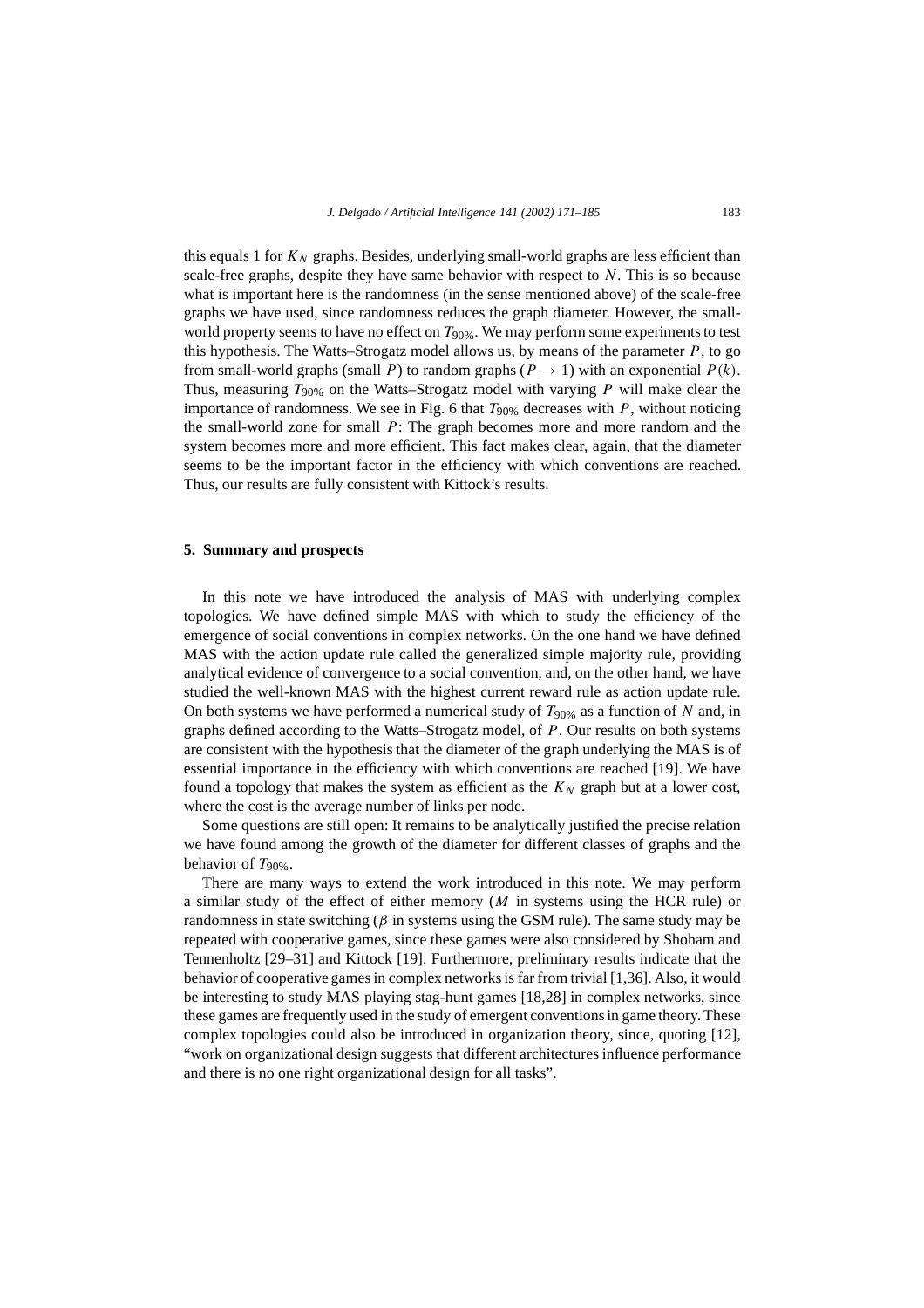this equals 1 for  $K_N$  graphs. Besides, underlying small-world graphs are less efficient than scale-free graphs, despite they have same behavior with respect to *N*. This is so because what is important here is the randomness (in the sense mentioned above) of the scale-free graphs we have used, since randomness reduces the graph diameter. However, the smallworld property seems to have no effect on  $T_{90\%}$ . We may perform some experiments to test this hypothesis. The Watts–Strogatz model allows us, by means of the parameter *P*, to go from small-world graphs (small *P*) to random graphs ( $P \rightarrow 1$ ) with an exponential  $P(k)$ . Thus, measuring *T*90% on the Watts–Strogatz model with varying *P* will make clear the importance of randomness. We see in Fig. 6 that *T*90% decreases with *P*, without noticing the small-world zone for small *P*: The graph becomes more and more random and the system becomes more and more efficient. This fact makes clear, again, that the diameter seems to be the important factor in the efficiency with which conventions are reached. Thus, our results are fully consistent with Kittock's results.

### **5. Summary and prospects**

In this note we have introduced the analysis of MAS with underlying complex topologies. We have defined simple MAS with which to study the efficiency of the emergence of social conventions in complex networks. On the one hand we have defined MAS with the action update rule called the generalized simple majority rule, providing analytical evidence of convergence to a social convention, and, on the other hand, we have studied the well-known MAS with the highest current reward rule as action update rule. On both systems we have performed a numerical study of *T*90% as a function of *N* and, in graphs defined according to the Watts–Strogatz model, of *P*. Our results on both systems are consistent with the hypothesis that the diameter of the graph underlying the MAS is of essential importance in the efficiency with which conventions are reached [19]. We have found a topology that makes the system as efficient as the *KN* graph but at a lower cost, where the cost is the average number of links per node.

Some questions are still open: It remains to be analytically justified the precise relation we have found among the growth of the diameter for different classes of graphs and the behavior of  $T_{90\%}$ .

There are many ways to extend the work introduced in this note. We may perform a similar study of the effect of either memory (*M* in systems using the HCR rule) or randomness in state switching  $(\beta$  in systems using the GSM rule). The same study may be repeated with cooperative games, since these games were also considered by Shoham and Tennenholtz [29–31] and Kittock [19]. Furthermore, preliminary results indicate that the behavior of cooperative games in complex networks is far from trivial [1,36]. Also, it would be interesting to study MAS playing stag-hunt games [18,28] in complex networks, since these games are frequently used in the study of emergent conventions in game theory. These complex topologies could also be introduced in organization theory, since, quoting [12], "work on organizational design suggests that different architectures influence performance and there is no one right organizational design for all tasks".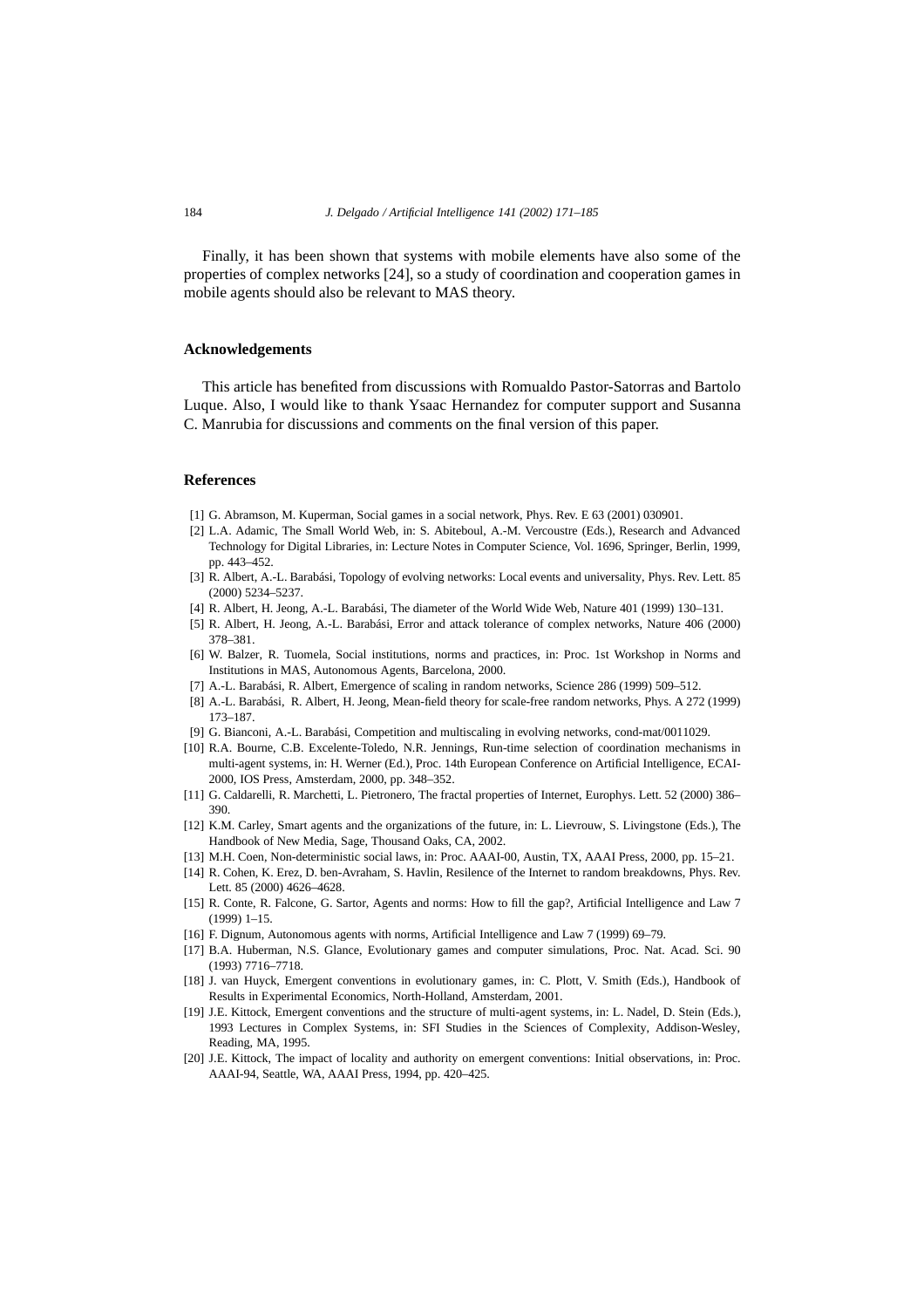Finally, it has been shown that systems with mobile elements have also some of the properties of complex networks [24], so a study of coordination and cooperation games in mobile agents should also be relevant to MAS theory.

#### **Acknowledgements**

This article has benefited from discussions with Romualdo Pastor-Satorras and Bartolo Luque. Also, I would like to thank Ysaac Hernandez for computer support and Susanna C. Manrubia for discussions and comments on the final version of this paper.

#### **References**

- [1] G. Abramson, M. Kuperman, Social games in a social network, Phys. Rev. E 63 (2001) 030901.
- [2] L.A. Adamic, The Small World Web, in: S. Abiteboul, A.-M. Vercoustre (Eds.), Research and Advanced Technology for Digital Libraries, in: Lecture Notes in Computer Science, Vol. 1696, Springer, Berlin, 1999, pp. 443–452.
- [3] R. Albert, A.-L. Barabási, Topology of evolving networks: Local events and universality, Phys. Rev. Lett. 85 (2000) 5234–5237.
- [4] R. Albert, H. Jeong, A.-L. Barabási, The diameter of the World Wide Web, Nature 401 (1999) 130–131.
- [5] R. Albert, H. Jeong, A.-L. Barabási, Error and attack tolerance of complex networks, Nature 406 (2000) 378–381.
- [6] W. Balzer, R. Tuomela, Social institutions, norms and practices, in: Proc. 1st Workshop in Norms and Institutions in MAS, Autonomous Agents, Barcelona, 2000.
- [7] A.-L. Barabási, R. Albert, Emergence of scaling in random networks, Science 286 (1999) 509–512.
- [8] A.-L. Barabási, R. Albert, H. Jeong, Mean-field theory for scale-free random networks, Phys. A 272 (1999) 173–187.
- [9] G. Bianconi, A.-L. Barabási, Competition and multiscaling in evolving networks, cond-mat/0011029.
- [10] R.A. Bourne, C.B. Excelente-Toledo, N.R. Jennings, Run-time selection of coordination mechanisms in multi-agent systems, in: H. Werner (Ed.), Proc. 14th European Conference on Artificial Intelligence, ECAI-2000, IOS Press, Amsterdam, 2000, pp. 348–352.
- [11] G. Caldarelli, R. Marchetti, L. Pietronero, The fractal properties of Internet, Europhys. Lett. 52 (2000) 386– 390.
- [12] K.M. Carley, Smart agents and the organizations of the future, in: L. Lievrouw, S. Livingstone (Eds.), The Handbook of New Media, Sage, Thousand Oaks, CA, 2002.
- [13] M.H. Coen, Non-deterministic social laws, in: Proc. AAAI-00, Austin, TX, AAAI Press, 2000, pp. 15–21.
- [14] R. Cohen, K. Erez, D. ben-Avraham, S. Havlin, Resilence of the Internet to random breakdowns, Phys. Rev. Lett. 85 (2000) 4626–4628.
- [15] R. Conte, R. Falcone, G. Sartor, Agents and norms: How to fill the gap?, Artificial Intelligence and Law 7 (1999) 1–15.
- [16] F. Dignum, Autonomous agents with norms, Artificial Intelligence and Law 7 (1999) 69–79.
- [17] B.A. Huberman, N.S. Glance, Evolutionary games and computer simulations, Proc. Nat. Acad. Sci. 90 (1993) 7716–7718.
- [18] J. van Huyck, Emergent conventions in evolutionary games, in: C. Plott, V. Smith (Eds.), Handbook of Results in Experimental Economics, North-Holland, Amsterdam, 2001.
- [19] J.E. Kittock, Emergent conventions and the structure of multi-agent systems, in: L. Nadel, D. Stein (Eds.), 1993 Lectures in Complex Systems, in: SFI Studies in the Sciences of Complexity, Addison-Wesley, Reading, MA, 1995.
- [20] J.E. Kittock, The impact of locality and authority on emergent conventions: Initial observations, in: Proc. AAAI-94, Seattle, WA, AAAI Press, 1994, pp. 420–425.